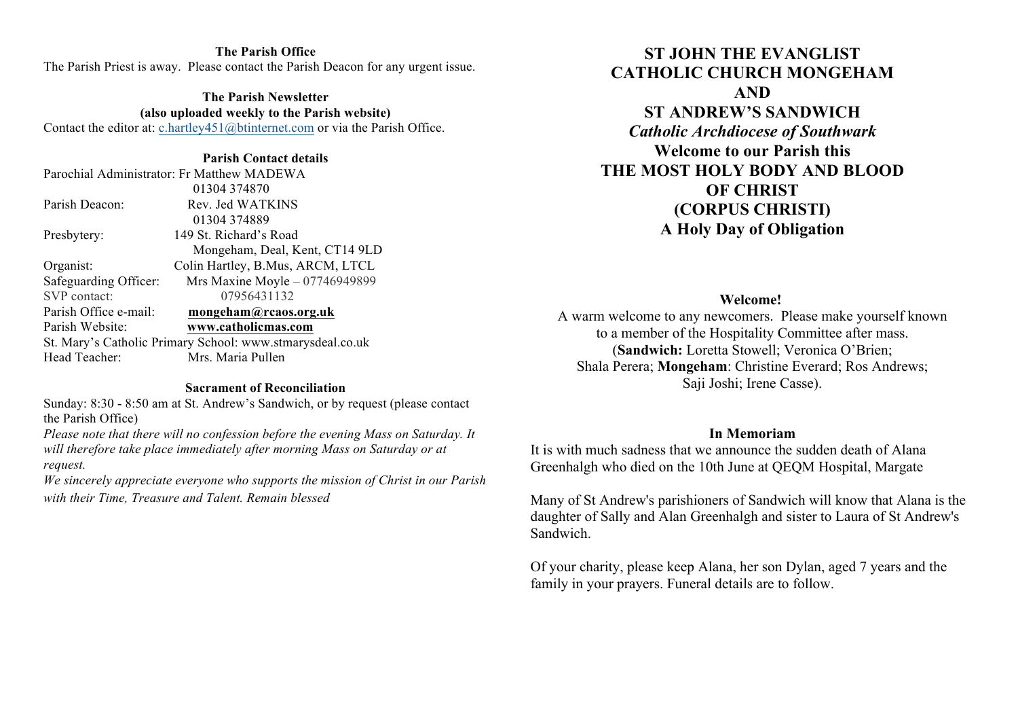#### **The Parish Office** The Parish Priest is away. Please contact the Parish Deacon for any urgent issue.

**The Parish Newsletter (also uploaded weekly to the Parish website)** Contact the editor at: c.hartley451@btinternet.com or via the Parish Office.

#### **Parish Contact details**

| Parochial Administrator: Fr Matthew MADEWA                |
|-----------------------------------------------------------|
| 01304 374870                                              |
| Rev. Jed WATKINS                                          |
| 01304374889                                               |
| 149 St. Richard's Road                                    |
| Mongeham, Deal, Kent, CT14 9LD                            |
| Colin Hartley, B.Mus, ARCM, LTCL                          |
| Mrs Maxine Moyle - 07746949899                            |
| 07956431132                                               |
| mongeham@rcaos.org.uk                                     |
| www.catholicmas.com                                       |
| St. Mary's Catholic Primary School: www.stmarysdeal.co.uk |
| Mrs. Maria Pullen                                         |
|                                                           |

#### **Sacrament of Reconciliation**

Sunday: 8:30 - 8:50 am at St. Andrew's Sandwich, or by request (please contact the Parish Office)

*Please note that there will no confession before the evening Mass on Saturday. It will therefore take place immediately after morning Mass on Saturday or at request.* 

*We sincerely appreciate everyone who supports the mission of Christ in our Parish with their Time, Treasure and Talent. Remain blessed*

# **ST JOHN THE EVANGLIST CATHOLIC CHURCH MONGEHAM AND ST ANDREW'S SANDWICH** *Catholic Archdiocese of Southwark* **Welcome to our Parish this THE MOST HOLY BODY AND BLOOD OF CHRIST (CORPUS CHRISTI) A Holy Day of Obligation**

**Welcome!**

A warm welcome to any newcomers. Please make yourself known to a member of the Hospitality Committee after mass. (**Sandwich:** Loretta Stowell; Veronica O'Brien; Shala Perera; **Mongeham**: Christine Everard; Ros Andrews; Saji Joshi; Irene Casse).

#### **In Memoriam**

It is with much sadness that we announce the sudden death of Alana Greenhalgh who died on the 10th June at QEQM Hospital, Margate

Many of St Andrew's parishioners of Sandwich will know that Alana is the daughter of Sally and Alan Greenhalgh and sister to Laura of St Andrew's Sandwich.

Of your charity, please keep Alana, her son Dylan, aged 7 years and the family in your prayers. Funeral details are to follow.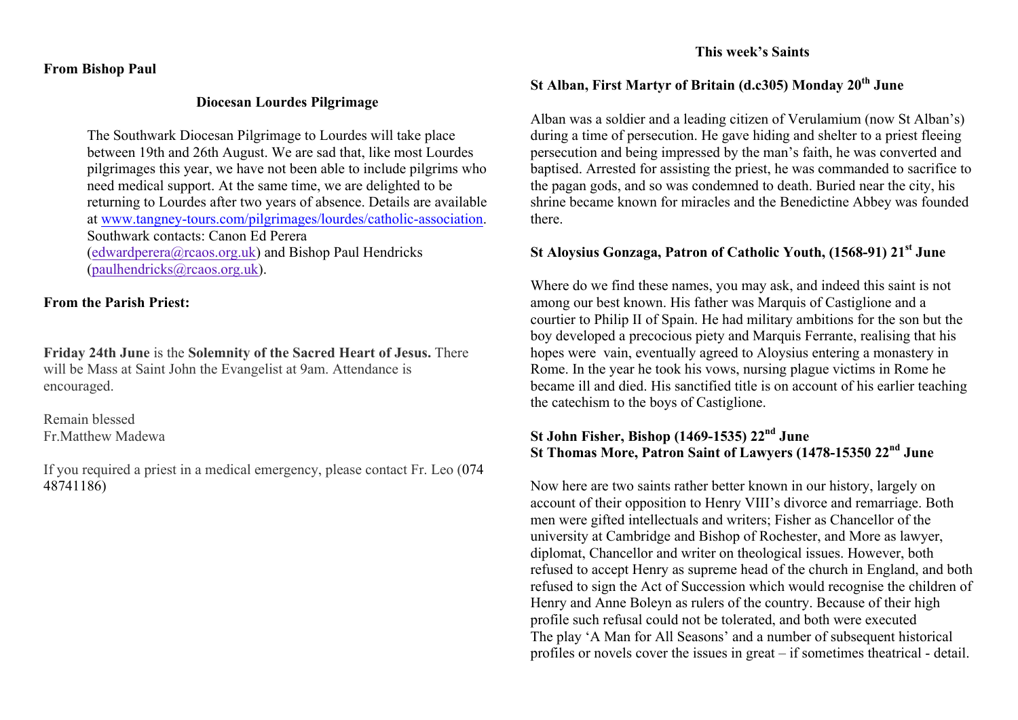### **From Bishop Paul**

#### **Diocesan Lourdes Pilgrimage**

The Southwark Diocesan Pilgrimage to Lourdes will take place between 19th and 26th August. We are sad that, like most Lourdes pilgrimages this year, we have not been able to include pilgrims who need medical support. At the same time, we are delighted to be returning to Lourdes after two years of absence. Details are available at www.tangney-tours.com/pilgrimages/lourdes/catholic-association. Southwark contacts: Canon Ed Perera (edwardperera@rcaos.org.uk) and Bishop Paul Hendricks (paulhendricks@rcaos.org.uk).

### **From the Parish Priest:**

**Friday 24th June** is the **Solemnity of the Sacred Heart of Jesus.** There will be Mass at Saint John the Evangelist at 9am. Attendance is encouraged.

Remain blessed Fr.Matthew Madewa

If you required a priest in a medical emergency, please contact Fr. Leo (074 48741186)

### **This week's Saints**

# **St Alban, First Martyr of Britain (d.c305) Monday 20th June**

Alban was a soldier and a leading citizen of Verulamium (now St Alban's) during a time of persecution. He gave hiding and shelter to a priest fleeing persecution and being impressed by the man's faith, he was converted and baptised. Arrested for assisting the priest, he was commanded to sacrifice to the pagan gods, and so was condemned to death. Buried near the city, his shrine became known for miracles and the Benedictine Abbey was founded there.

## **St Aloysius Gonzaga, Patron of Catholic Youth, (1568-91) 21st June**

Where do we find these names, you may ask, and indeed this saint is not among our best known. His father was Marquis of Castiglione and a courtier to Philip II of Spain. He had military ambitions for the son but the boy developed a precocious piety and Marquis Ferrante, realising that his hopes were vain, eventually agreed to Aloysius entering a monastery in Rome. In the year he took his vows, nursing plague victims in Rome he became ill and died. His sanctified title is on account of his earlier teaching the catechism to the boys of Castiglione.

## **St John Fisher, Bishop (1469-1535) 22nd June St Thomas More, Patron Saint of Lawyers (1478-15350 22nd June**

Now here are two saints rather better known in our history, largely on account of their opposition to Henry VIII's divorce and remarriage. Both men were gifted intellectuals and writers; Fisher as Chancellor of the university at Cambridge and Bishop of Rochester, and More as lawyer, diplomat, Chancellor and writer on theological issues. However, both refused to accept Henry as supreme head of the church in England, and both refused to sign the Act of Succession which would recognise the children of Henry and Anne Boleyn as rulers of the country. Because of their high profile such refusal could not be tolerated, and both were executed The play 'A Man for All Seasons' and a number of subsequent historical profiles or novels cover the issues in great – if sometimes theatrical - detail.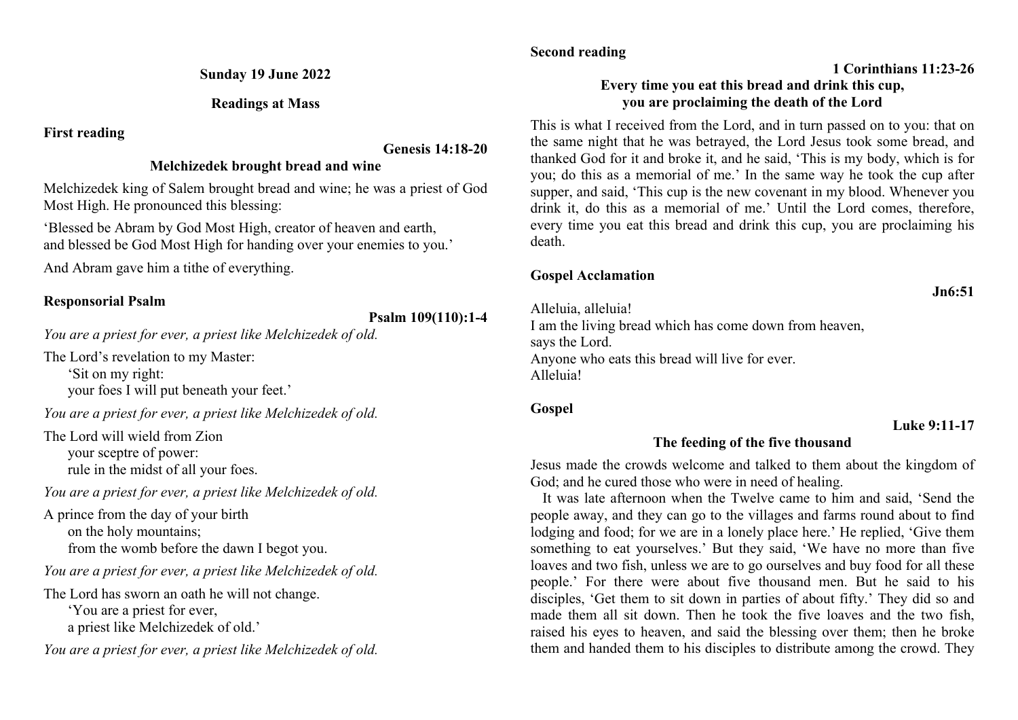**Sunday 19 June 2022**

**Readings at Mass**

**First reading**

### **Genesis 14:18-20**

## **Melchizedek brought bread and wine**

Melchizedek king of Salem brought bread and wine; he was a priest of God Most High. He pronounced this blessing:

'Blessed be Abram by God Most High, creator of heaven and earth, and blessed be God Most High for handing over your enemies to you.'

And Abram gave him a tithe of everything.

## **Responsorial Psalm**

# **Psalm 109(110):1-4**

*You are a priest for ever, a priest like Melchizedek of old.*

The Lord's revelation to my Master:

'Sit on my right: your foes I will put beneath your feet.'

*You are a priest for ever, a priest like Melchizedek of old.*

The Lord will wield from Zion your sceptre of power: rule in the midst of all your foes.

*You are a priest for ever, a priest like Melchizedek of old.*

A prince from the day of your birth on the holy mountains; from the womb before the dawn I begot you.

*You are a priest for ever, a priest like Melchizedek of old.*

The Lord has sworn an oath he will not change. 'You are a priest for ever, a priest like Melchizedek of old.'

*You are a priest for ever, a priest like Melchizedek of old.*

## **Second reading**

# **1 Corinthians 11:23-26**

## **Every time you eat this bread and drink this cup, you are proclaiming the death of the Lord**

This is what I received from the Lord, and in turn passed on to you: that on the same night that he was betrayed, the Lord Jesus took some bread, and thanked God for it and broke it, and he said, 'This is my body, which is for you; do this as a memorial of me.' In the same way he took the cup after supper, and said, 'This cup is the new covenant in my blood. Whenever you drink it, do this as a memorial of me.' Until the Lord comes, therefore, every time you eat this bread and drink this cup, you are proclaiming his death.

# **Gospel Acclamation**

Alleluia, alleluia! I am the living bread which has come down from heaven, says the Lord. Anyone who eats this bread will live for ever. Alleluia!

## **Gospel**

## **Luke 9:11-17**

# **The feeding of the five thousand**

Jesus made the crowds welcome and talked to them about the kingdom of God; and he cured those who were in need of healing.

It was late afternoon when the Twelve came to him and said, 'Send the people away, and they can go to the villages and farms round about to find lodging and food; for we are in a lonely place here.' He replied, 'Give them something to eat yourselves.' But they said, 'We have no more than five loaves and two fish, unless we are to go ourselves and buy food for all these people.' For there were about five thousand men. But he said to his disciples, 'Get them to sit down in parties of about fifty.' They did so and made them all sit down. Then he took the five loaves and the two fish, raised his eyes to heaven, and said the blessing over them; then he broke them and handed them to his disciples to distribute among the crowd. They

**Jn6:51**